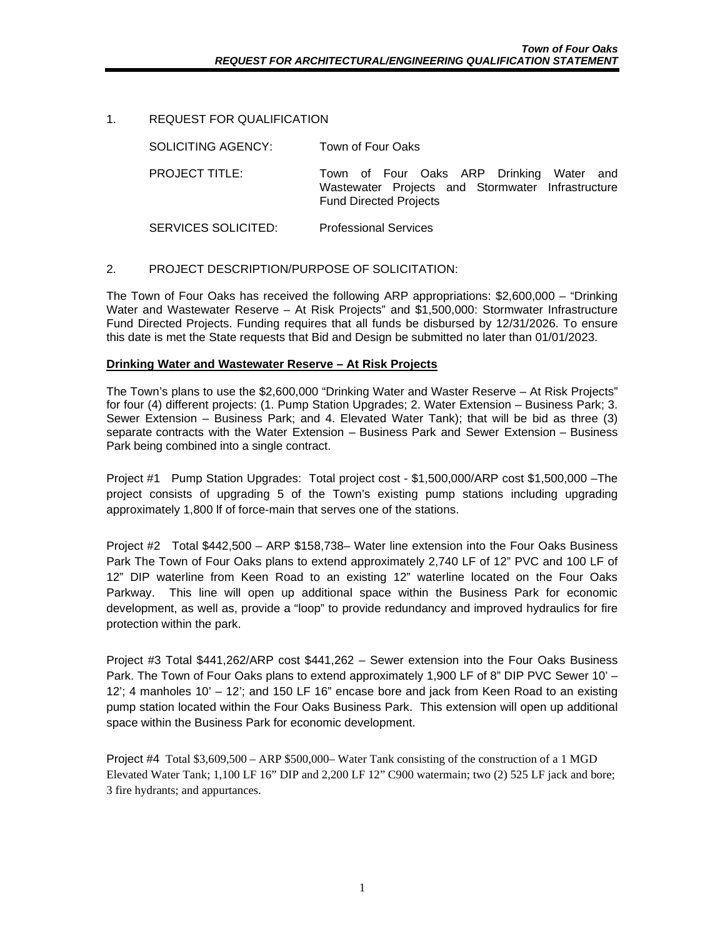### 1. REQUEST FOR QUALIFICATION

SOLICITING AGENCY: Town of Four Oaks

PROJECT TITLE: Town of Four Oaks ARP Drinking Water and Wastewater Projects and Stormwater Infrastructure Fund Directed Projects

SERVICES SOLICITED: Professional Services

### 2. PROJECT DESCRIPTION/PURPOSE OF SOLICITATION:

The Town of Four Oaks has received the following ARP appropriations: \$2,600,000 – "Drinking Water and Wastewater Reserve – At Risk Projects" and \$1,500,000: Stormwater Infrastructure Fund Directed Projects. Funding requires that all funds be disbursed by 12/31/2026. To ensure this date is met the State requests that Bid and Design be submitted no later than 01/01/2023.

#### **Drinking Water and Wastewater Reserve – At Risk Projects**

The Town's plans to use the \$2,600,000 "Drinking Water and Waster Reserve – At Risk Projects" for four (4) different projects: (1. Pump Station Upgrades; 2. Water Extension – Business Park; 3. Sewer Extension – Business Park; and 4. Elevated Water Tank); that will be bid as three (3) separate contracts with the Water Extension – Business Park and Sewer Extension – Business Park being combined into a single contract.

Project #1 Pump Station Upgrades: Total project cost - \$1,500,000/ARP cost \$1,500,000 –The project consists of upgrading 5 of the Town's existing pump stations including upgrading approximately 1,800 lf of force-main that serves one of the stations.

Project #2 Total \$442,500 – ARP \$158,738– Water line extension into the Four Oaks Business Park The Town of Four Oaks plans to extend approximately 2,740 LF of 12" PVC and 100 LF of 12" DIP waterline from Keen Road to an existing 12" waterline located on the Four Oaks Parkway. This line will open up additional space within the Business Park for economic development, as well as, provide a "loop" to provide redundancy and improved hydraulics for fire protection within the park.

Project #3 Total \$441,262/ARP cost \$441,262 – Sewer extension into the Four Oaks Business Park. The Town of Four Oaks plans to extend approximately 1,900 LF of 8" DIP PVC Sewer 10' – 12'; 4 manholes 10' – 12'; and 150 LF 16" encase bore and jack from Keen Road to an existing pump station located within the Four Oaks Business Park. This extension will open up additional space within the Business Park for economic development.

Project #4 Total \$3,609,500 – ARP \$500,000– Water Tank consisting of the construction of a 1 MGD Elevated Water Tank; 1,100 LF 16" DIP and 2,200 LF 12" C900 watermain; two (2) 525 LF jack and bore; 3 fire hydrants; and appurtances.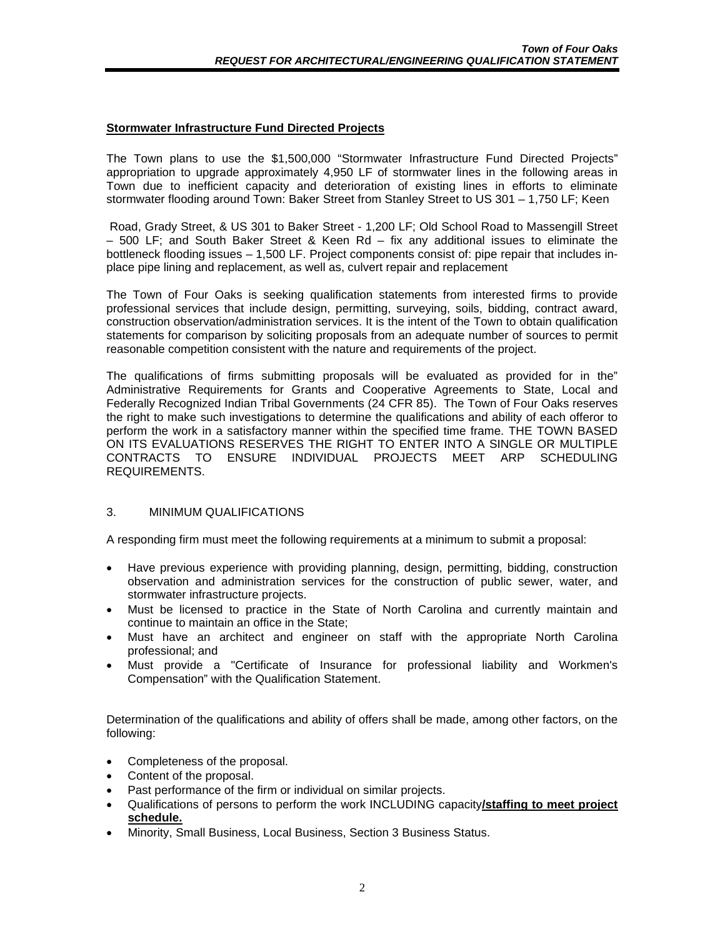#### **Stormwater Infrastructure Fund Directed Projects**

The Town plans to use the \$1,500,000 "Stormwater Infrastructure Fund Directed Projects" appropriation to upgrade approximately 4,950 LF of stormwater lines in the following areas in Town due to inefficient capacity and deterioration of existing lines in efforts to eliminate stormwater flooding around Town: Baker Street from Stanley Street to US 301 – 1,750 LF; Keen

Road, Grady Street, & US 301 to Baker Street - 1,200 LF; Old School Road to Massengill Street – 500 LF; and South Baker Street & Keen Rd – fix any additional issues to eliminate the bottleneck flooding issues – 1,500 LF. Project components consist of: pipe repair that includes inplace pipe lining and replacement, as well as, culvert repair and replacement

The Town of Four Oaks is seeking qualification statements from interested firms to provide professional services that include design, permitting, surveying, soils, bidding, contract award, construction observation/administration services. It is the intent of the Town to obtain qualification statements for comparison by soliciting proposals from an adequate number of sources to permit reasonable competition consistent with the nature and requirements of the project.

The qualifications of firms submitting proposals will be evaluated as provided for in the" Administrative Requirements for Grants and Cooperative Agreements to State, Local and Federally Recognized Indian Tribal Governments (24 CFR 85). The Town of Four Oaks reserves the right to make such investigations to determine the qualifications and ability of each offeror to perform the work in a satisfactory manner within the specified time frame. THE TOWN BASED ON ITS EVALUATIONS RESERVES THE RIGHT TO ENTER INTO A SINGLE OR MULTIPLE CONTRACTS TO ENSURE INDIVIDUAL PROJECTS MEET ARP SCHEDULING REQUIREMENTS.

### 3. MINIMUM QUALIFICATIONS

A responding firm must meet the following requirements at a minimum to submit a proposal:

- Have previous experience with providing planning, design, permitting, bidding, construction observation and administration services for the construction of public sewer, water, and stormwater infrastructure projects.
- Must be licensed to practice in the State of North Carolina and currently maintain and continue to maintain an office in the State;
- Must have an architect and engineer on staff with the appropriate North Carolina professional; and
- Must provide a "Certificate of Insurance for professional liability and Workmen's Compensation" with the Qualification Statement.

Determination of the qualifications and ability of offers shall be made, among other factors, on the following:

- Completeness of the proposal.
- Content of the proposal.
- Past performance of the firm or individual on similar projects.
- Qualifications of persons to perform the work INCLUDING capacity**/staffing to meet project schedule.**
- Minority, Small Business, Local Business, Section 3 Business Status.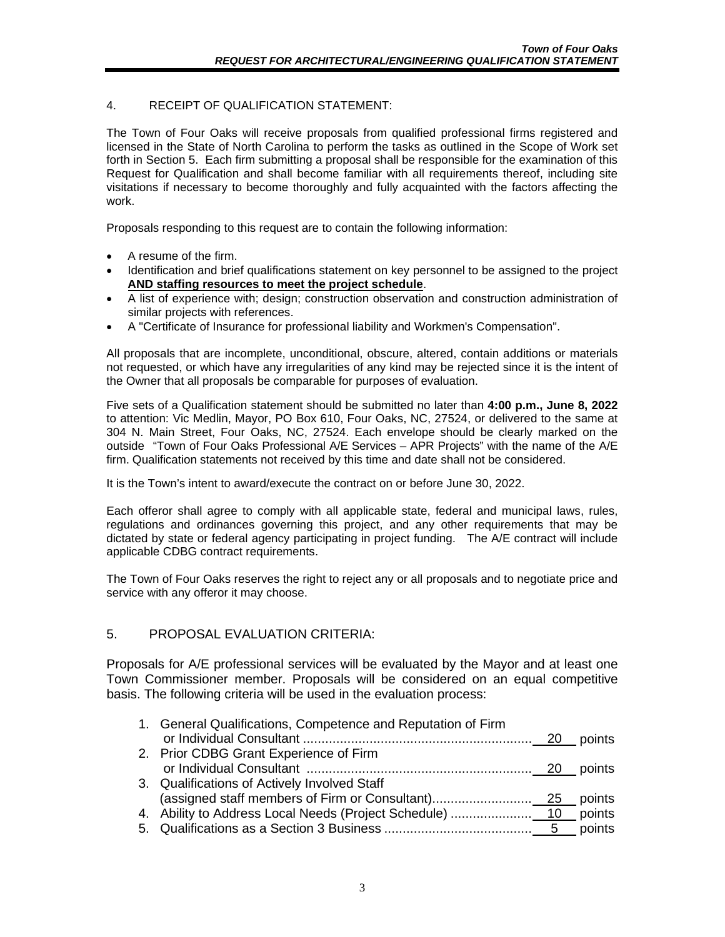## 4. RECEIPT OF QUALIFICATION STATEMENT:

The Town of Four Oaks will receive proposals from qualified professional firms registered and licensed in the State of North Carolina to perform the tasks as outlined in the Scope of Work set forth in Section 5. Each firm submitting a proposal shall be responsible for the examination of this Request for Qualification and shall become familiar with all requirements thereof, including site visitations if necessary to become thoroughly and fully acquainted with the factors affecting the work.

Proposals responding to this request are to contain the following information:

- A resume of the firm.
- Identification and brief qualifications statement on key personnel to be assigned to the project **AND staffing resources to meet the project schedule**.
- A list of experience with; design; construction observation and construction administration of similar projects with references.
- A "Certificate of Insurance for professional liability and Workmen's Compensation".

All proposals that are incomplete, unconditional, obscure, altered, contain additions or materials not requested, or which have any irregularities of any kind may be rejected since it is the intent of the Owner that all proposals be comparable for purposes of evaluation.

Five sets of a Qualification statement should be submitted no later than **4:00 p.m., June 8, 2022** to attention: Vic Medlin, Mayor, PO Box 610, Four Oaks, NC, 27524, or delivered to the same at 304 N. Main Street, Four Oaks, NC, 27524. Each envelope should be clearly marked on the outside "Town of Four Oaks Professional A/E Services – APR Projects" with the name of the A/E firm. Qualification statements not received by this time and date shall not be considered.

It is the Town's intent to award/execute the contract on or before June 30, 2022.

Each offeror shall agree to comply with all applicable state, federal and municipal laws, rules, regulations and ordinances governing this project, and any other requirements that may be dictated by state or federal agency participating in project funding. The A/E contract will include applicable CDBG contract requirements.

The Town of Four Oaks reserves the right to reject any or all proposals and to negotiate price and service with any offeror it may choose.

# 5. PROPOSAL EVALUATION CRITERIA:

Proposals for A/E professional services will be evaluated by the Mayor and at least one Town Commissioner member. Proposals will be considered on an equal competitive basis. The following criteria will be used in the evaluation process:

| 1. General Qualifications, Competence and Reputation of Firm |  |
|--------------------------------------------------------------|--|
|                                                              |  |
| 2. Prior CDBG Grant Experience of Firm                       |  |
|                                                              |  |
| 3. Qualifications of Actively Involved Staff                 |  |
|                                                              |  |
|                                                              |  |
|                                                              |  |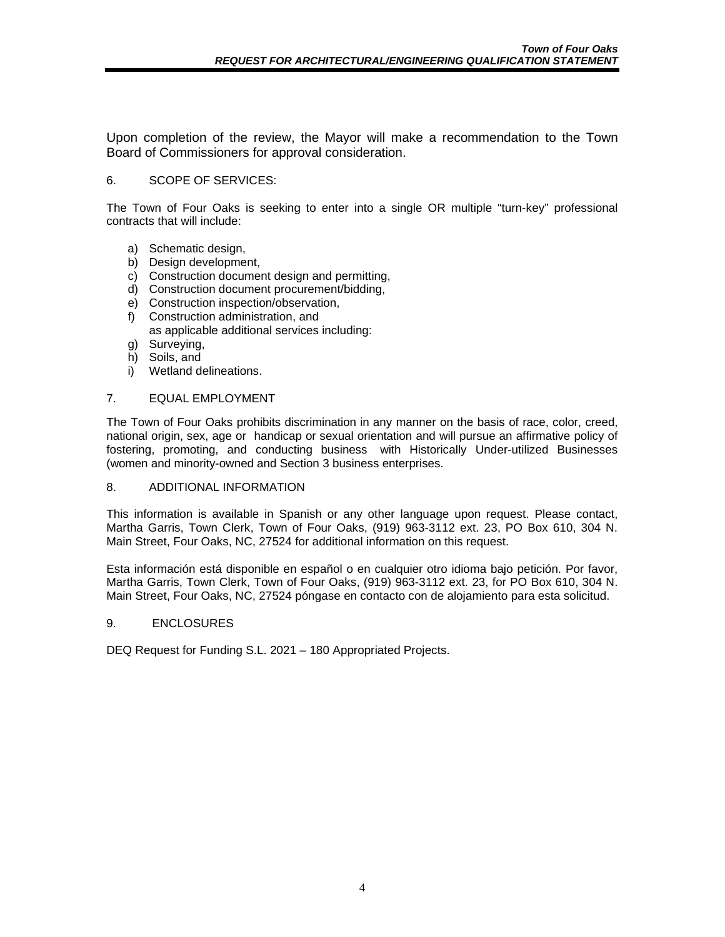Upon completion of the review, the Mayor will make a recommendation to the Town Board of Commissioners for approval consideration.

### 6. SCOPE OF SERVICES:

The Town of Four Oaks is seeking to enter into a single OR multiple "turn-key" professional contracts that will include:

- a) Schematic design,
- b) Design development,
- c) Construction document design and permitting,
- d) Construction document procurement/bidding,
- e) Construction inspection/observation,
- f) Construction administration, and as applicable additional services including:
- g) Surveying,
- h) Soils, and
- i) Wetland delineations.

#### 7. EQUAL EMPLOYMENT

The Town of Four Oaks prohibits discrimination in any manner on the basis of race, color, creed, national origin, sex, age or handicap or sexual orientation and will pursue an affirmative policy of fostering, promoting, and conducting business with Historically Under-utilized Businesses (women and minority-owned and Section 3 business enterprises.

#### 8. ADDITIONAL INFORMATION

This information is available in Spanish or any other language upon request. Please contact, Martha Garris, Town Clerk, Town of Four Oaks, (919) 963-3112 ext. 23, PO Box 610, 304 N. Main Street, Four Oaks, NC, 27524 for additional information on this request.

Esta información está disponible en español o en cualquier otro idioma bajo petición. Por favor, Martha Garris, Town Clerk, Town of Four Oaks, (919) 963-3112 ext. 23, for PO Box 610, 304 N. Main Street, Four Oaks, NC, 27524 póngase en contacto con de alojamiento para esta solicitud.

#### 9. ENCLOSURES

DEQ Request for Funding S.L. 2021 – 180 Appropriated Projects.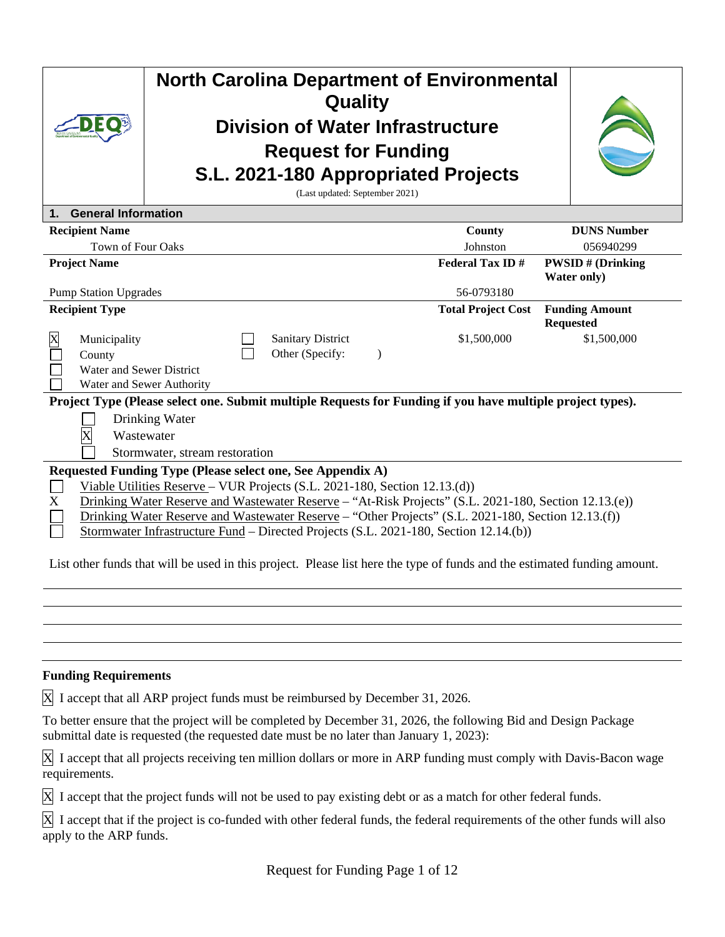|                                            | <b>North Carolina Department of Environmental</b><br>Quality<br><b>Division of Water Infrastructure</b><br><b>Request for Funding</b><br>S.L. 2021-180 Appropriated Projects<br>(Last updated: September 2021)                                                                                                                                                                                                                                    |                                                       |  |                                             |                                        |                                                                                                            |                                           |
|--------------------------------------------|---------------------------------------------------------------------------------------------------------------------------------------------------------------------------------------------------------------------------------------------------------------------------------------------------------------------------------------------------------------------------------------------------------------------------------------------------|-------------------------------------------------------|--|---------------------------------------------|----------------------------------------|------------------------------------------------------------------------------------------------------------|-------------------------------------------|
| 1.                                         | <b>General Information</b>                                                                                                                                                                                                                                                                                                                                                                                                                        |                                                       |  |                                             |                                        |                                                                                                            |                                           |
|                                            | <b>Recipient Name</b>                                                                                                                                                                                                                                                                                                                                                                                                                             |                                                       |  |                                             |                                        | County                                                                                                     | <b>DUNS Number</b>                        |
|                                            | <b>Town of Four Oaks</b>                                                                                                                                                                                                                                                                                                                                                                                                                          |                                                       |  |                                             |                                        | Johnston                                                                                                   | 056940299                                 |
| <b>Project Name</b>                        |                                                                                                                                                                                                                                                                                                                                                                                                                                                   |                                                       |  | <b>Federal Tax ID#</b>                      | <b>PWSID#</b> (Drinking<br>Water only) |                                                                                                            |                                           |
| 56-0793180<br><b>Pump Station Upgrades</b> |                                                                                                                                                                                                                                                                                                                                                                                                                                                   |                                                       |  |                                             |                                        |                                                                                                            |                                           |
|                                            | <b>Recipient Type</b>                                                                                                                                                                                                                                                                                                                                                                                                                             |                                                       |  |                                             |                                        | <b>Total Project Cost</b>                                                                                  | <b>Funding Amount</b><br><b>Requested</b> |
| X                                          | Municipality<br>County                                                                                                                                                                                                                                                                                                                                                                                                                            | Water and Sewer District<br>Water and Sewer Authority |  | <b>Sanitary District</b><br>Other (Specify: | $\lambda$                              | \$1,500,000                                                                                                | \$1,500,000                               |
|                                            |                                                                                                                                                                                                                                                                                                                                                                                                                                                   |                                                       |  |                                             |                                        | Project Type (Please select one. Submit multiple Requests for Funding if you have multiple project types). |                                           |
|                                            |                                                                                                                                                                                                                                                                                                                                                                                                                                                   | Drinking Water                                        |  |                                             |                                        |                                                                                                            |                                           |
|                                            |                                                                                                                                                                                                                                                                                                                                                                                                                                                   | Wastewater<br>Stormwater, stream restoration          |  |                                             |                                        |                                                                                                            |                                           |
|                                            |                                                                                                                                                                                                                                                                                                                                                                                                                                                   |                                                       |  |                                             |                                        |                                                                                                            |                                           |
| X                                          | Requested Funding Type (Please select one, See Appendix A)<br>Viable Utilities Reserve - VUR Projects (S.L. 2021-180, Section 12.13.(d))<br>Drinking Water Reserve and Wastewater Reserve - "At-Risk Projects" (S.L. 2021-180, Section 12.13.(e))<br>Drinking Water Reserve and Wastewater Reserve – "Other Projects" (S.L. 2021-180, Section 12.13.(f))<br>Stormwater Infrastructure Fund – Directed Projects (S.L. 2021-180, Section 12.14.(b)) |                                                       |  |                                             |                                        |                                                                                                            |                                           |

List other funds that will be used in this project. Please list here the type of funds and the estimated funding amount.

# **Funding Requirements**

X I accept that all ARP project funds must be reimbursed by December 31, 2026.

To better ensure that the project will be completed by December 31, 2026, the following Bid and Design Package submittal date is requested (the requested date must be no later than January 1, 2023):

X I accept that all projects receiving ten million dollars or more in ARP funding must comply with Davis-Bacon wage requirements.

X I accept that the project funds will not be used to pay existing debt or as a match for other federal funds.

X I accept that if the project is co-funded with other federal funds, the federal requirements of the other funds will also apply to the ARP funds.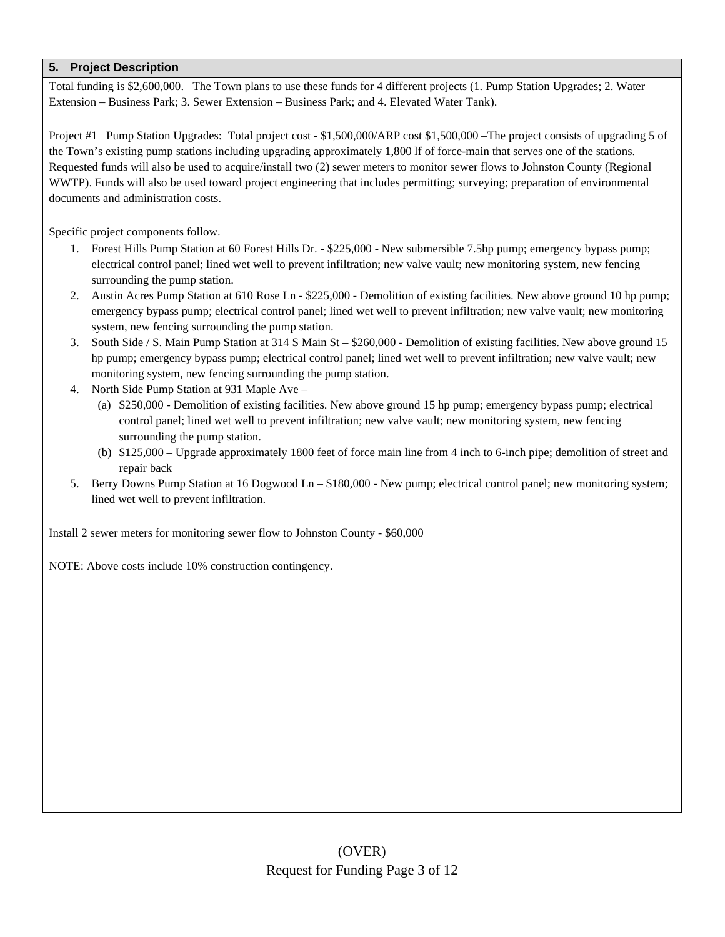Total funding is \$2,600,000. The Town plans to use these funds for 4 different projects (1. Pump Station Upgrades; 2. Water Extension – Business Park; 3. Sewer Extension – Business Park; and 4. Elevated Water Tank).

Project #1 Pump Station Upgrades: Total project cost - \$1,500,000/ARP cost \$1,500,000 –The project consists of upgrading 5 of the Town's existing pump stations including upgrading approximately 1,800 lf of force-main that serves one of the stations. Requested funds will also be used to acquire/install two (2) sewer meters to monitor sewer flows to Johnston County (Regional WWTP). Funds will also be used toward project engineering that includes permitting; surveying; preparation of environmental documents and administration costs.

Specific project components follow.

- 1. Forest Hills Pump Station at 60 Forest Hills Dr. \$225,000 New submersible 7.5hp pump; emergency bypass pump; electrical control panel; lined wet well to prevent infiltration; new valve vault; new monitoring system, new fencing surrounding the pump station.
- 2. Austin Acres Pump Station at 610 Rose Ln \$225,000 Demolition of existing facilities. New above ground 10 hp pump; emergency bypass pump; electrical control panel; lined wet well to prevent infiltration; new valve vault; new monitoring system, new fencing surrounding the pump station.
- 3. South Side / S. Main Pump Station at 314 S Main St \$260,000 Demolition of existing facilities. New above ground 15 hp pump; emergency bypass pump; electrical control panel; lined wet well to prevent infiltration; new valve vault; new monitoring system, new fencing surrounding the pump station.
- 4. North Side Pump Station at 931 Maple Ave
	- (a) \$250,000 Demolition of existing facilities. New above ground 15 hp pump; emergency bypass pump; electrical control panel; lined wet well to prevent infiltration; new valve vault; new monitoring system, new fencing surrounding the pump station.
	- (b) \$125,000 Upgrade approximately 1800 feet of force main line from 4 inch to 6-inch pipe; demolition of street and repair back
- 5. Berry Downs Pump Station at 16 Dogwood Ln \$180,000 New pump; electrical control panel; new monitoring system; lined wet well to prevent infiltration.

Install 2 sewer meters for monitoring sewer flow to Johnston County - \$60,000

NOTE: Above costs include 10% construction contingency.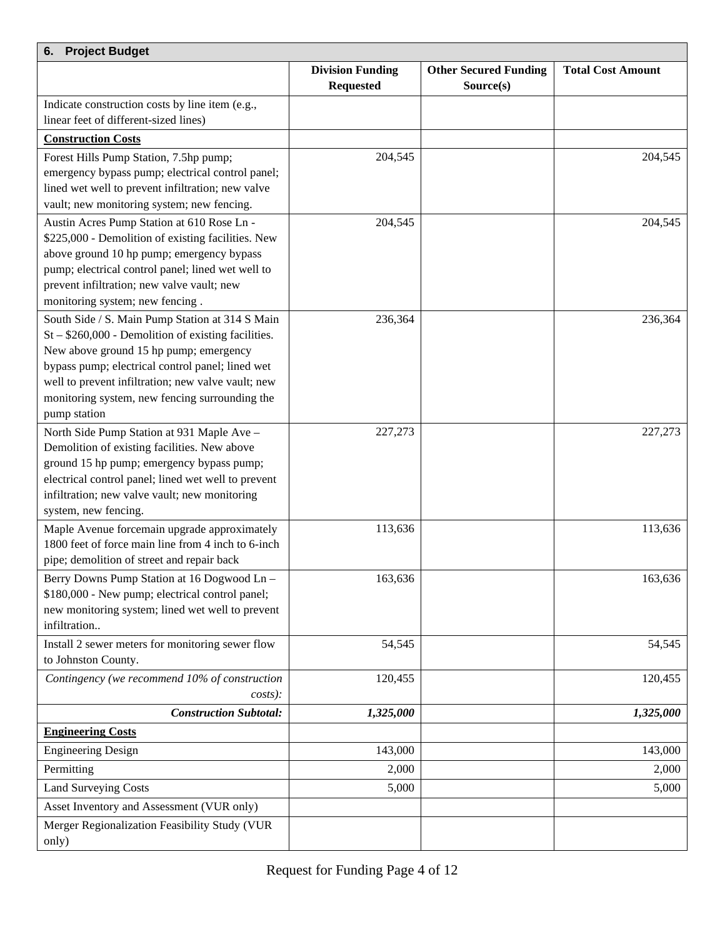| <b>Project Budget</b><br>6.                                                                          |                         |                              |                          |  |  |  |
|------------------------------------------------------------------------------------------------------|-------------------------|------------------------------|--------------------------|--|--|--|
|                                                                                                      | <b>Division Funding</b> | <b>Other Secured Funding</b> | <b>Total Cost Amount</b> |  |  |  |
|                                                                                                      | <b>Requested</b>        | Source(s)                    |                          |  |  |  |
| Indicate construction costs by line item (e.g.,                                                      |                         |                              |                          |  |  |  |
| linear feet of different-sized lines)                                                                |                         |                              |                          |  |  |  |
| <b>Construction Costs</b>                                                                            |                         |                              |                          |  |  |  |
| Forest Hills Pump Station, 7.5hp pump;                                                               | 204,545                 |                              | 204,545                  |  |  |  |
| emergency bypass pump; electrical control panel;                                                     |                         |                              |                          |  |  |  |
| lined wet well to prevent infiltration; new valve                                                    |                         |                              |                          |  |  |  |
| vault; new monitoring system; new fencing.                                                           |                         |                              |                          |  |  |  |
| Austin Acres Pump Station at 610 Rose Ln -<br>\$225,000 - Demolition of existing facilities. New     | 204,545                 |                              | 204,545                  |  |  |  |
| above ground 10 hp pump; emergency bypass                                                            |                         |                              |                          |  |  |  |
| pump; electrical control panel; lined wet well to                                                    |                         |                              |                          |  |  |  |
| prevent infiltration; new valve vault; new                                                           |                         |                              |                          |  |  |  |
| monitoring system; new fencing.                                                                      |                         |                              |                          |  |  |  |
| South Side / S. Main Pump Station at 314 S Main                                                      | 236,364                 |                              | 236,364                  |  |  |  |
| $St - $260,000$ - Demolition of existing facilities.                                                 |                         |                              |                          |  |  |  |
| New above ground 15 hp pump; emergency                                                               |                         |                              |                          |  |  |  |
| bypass pump; electrical control panel; lined wet                                                     |                         |                              |                          |  |  |  |
| well to prevent infiltration; new valve vault; new                                                   |                         |                              |                          |  |  |  |
| monitoring system, new fencing surrounding the                                                       |                         |                              |                          |  |  |  |
| pump station                                                                                         |                         |                              |                          |  |  |  |
| North Side Pump Station at 931 Maple Ave -                                                           | 227,273                 |                              | 227,273                  |  |  |  |
| Demolition of existing facilities. New above                                                         |                         |                              |                          |  |  |  |
| ground 15 hp pump; emergency bypass pump;                                                            |                         |                              |                          |  |  |  |
| electrical control panel; lined wet well to prevent<br>infiltration; new valve vault; new monitoring |                         |                              |                          |  |  |  |
| system, new fencing.                                                                                 |                         |                              |                          |  |  |  |
| Maple Avenue forcemain upgrade approximately                                                         | 113,636                 |                              | 113,636                  |  |  |  |
| 1800 feet of force main line from 4 inch to 6-inch                                                   |                         |                              |                          |  |  |  |
| pipe; demolition of street and repair back                                                           |                         |                              |                          |  |  |  |
| Berry Downs Pump Station at 16 Dogwood Ln –                                                          | 163,636                 |                              | 163,636                  |  |  |  |
| \$180,000 - New pump; electrical control panel;                                                      |                         |                              |                          |  |  |  |
| new monitoring system; lined wet well to prevent                                                     |                         |                              |                          |  |  |  |
| infiltration                                                                                         |                         |                              |                          |  |  |  |
| Install 2 sewer meters for monitoring sewer flow                                                     | 54,545                  |                              | 54,545                   |  |  |  |
| to Johnston County.                                                                                  |                         |                              |                          |  |  |  |
| Contingency (we recommend 10% of construction                                                        | 120,455                 |                              | 120,455                  |  |  |  |
| $costs$ :                                                                                            |                         |                              |                          |  |  |  |
| <b>Construction Subtotal:</b>                                                                        | 1,325,000               |                              | 1,325,000                |  |  |  |
| <b>Engineering Costs</b>                                                                             |                         |                              |                          |  |  |  |
| <b>Engineering Design</b>                                                                            | 143,000                 |                              | 143,000                  |  |  |  |
| Permitting                                                                                           | 2,000                   |                              | 2,000                    |  |  |  |
| <b>Land Surveying Costs</b>                                                                          | 5,000                   |                              | 5,000                    |  |  |  |
| Asset Inventory and Assessment (VUR only)                                                            |                         |                              |                          |  |  |  |
| Merger Regionalization Feasibility Study (VUR                                                        |                         |                              |                          |  |  |  |
| only)                                                                                                |                         |                              |                          |  |  |  |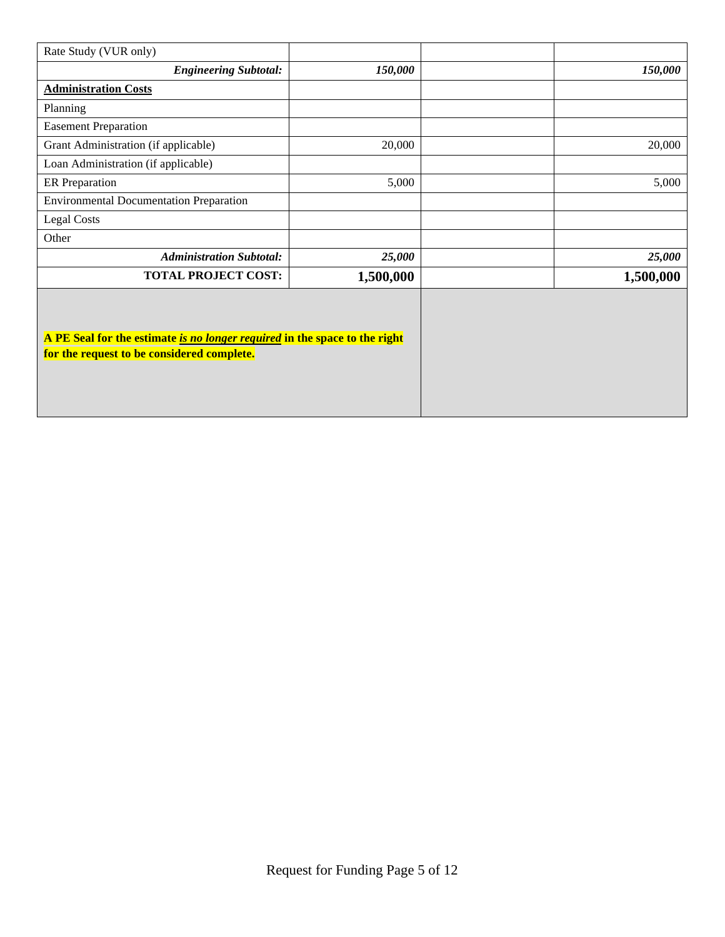| Rate Study (VUR only)                                                                                                    |           |           |
|--------------------------------------------------------------------------------------------------------------------------|-----------|-----------|
| <b>Engineering Subtotal:</b>                                                                                             | 150,000   | 150,000   |
| <b>Administration Costs</b>                                                                                              |           |           |
| Planning                                                                                                                 |           |           |
| <b>Easement Preparation</b>                                                                                              |           |           |
| Grant Administration (if applicable)                                                                                     | 20,000    | 20,000    |
| Loan Administration (if applicable)                                                                                      |           |           |
| <b>ER</b> Preparation                                                                                                    | 5,000     | 5,000     |
| <b>Environmental Documentation Preparation</b>                                                                           |           |           |
| <b>Legal Costs</b>                                                                                                       |           |           |
| Other                                                                                                                    |           |           |
| <b>Administration Subtotal:</b>                                                                                          | 25,000    | 25,000    |
| <b>TOTAL PROJECT COST:</b>                                                                                               | 1,500,000 | 1,500,000 |
| A PE Seal for the estimate is no longer required in the space to the right<br>for the request to be considered complete. |           |           |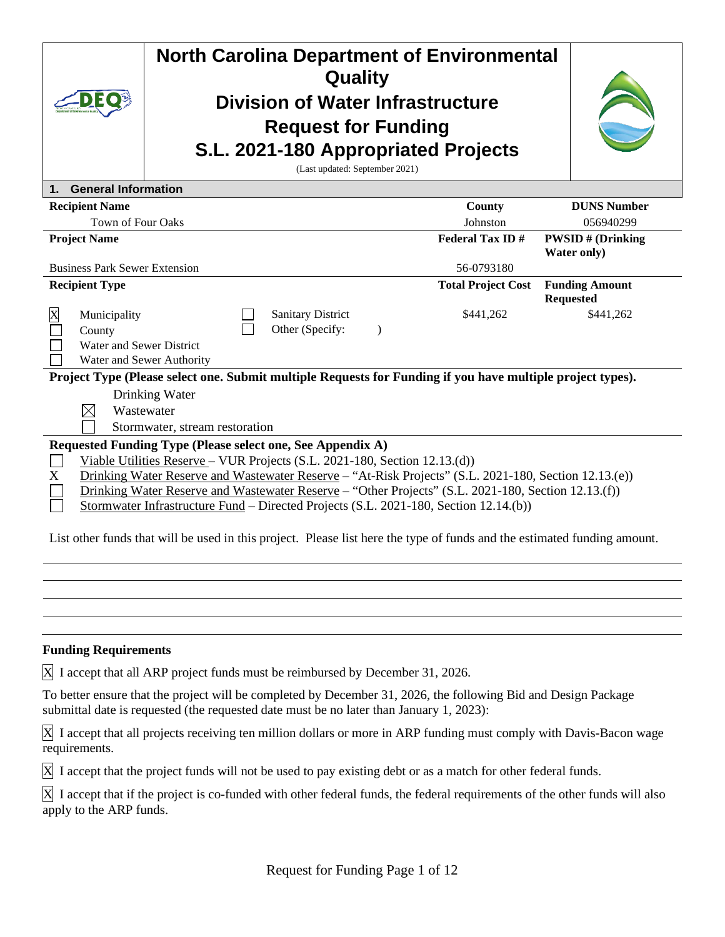|                                                                                                                                                       |                                                                                                                          |                                |  | Quality<br><b>Division of Water Infrastructure</b><br><b>Request for Funding</b><br>S.L. 2021-180 Appropriated Projects<br>(Last updated: September 2021) |  | <b>North Carolina Department of Environmental</b>                                                          |                       |
|-------------------------------------------------------------------------------------------------------------------------------------------------------|--------------------------------------------------------------------------------------------------------------------------|--------------------------------|--|-----------------------------------------------------------------------------------------------------------------------------------------------------------|--|------------------------------------------------------------------------------------------------------------|-----------------------|
|                                                                                                                                                       | 1. General Information                                                                                                   |                                |  |                                                                                                                                                           |  |                                                                                                            |                       |
|                                                                                                                                                       | <b>Recipient Name</b>                                                                                                    |                                |  |                                                                                                                                                           |  | County                                                                                                     | <b>DUNS Number</b>    |
|                                                                                                                                                       | Town of Four Oaks                                                                                                        |                                |  |                                                                                                                                                           |  | Johnston                                                                                                   | 056940299             |
| <b>Project Name</b><br><b>Federal Tax ID#</b><br><b>PWSID#</b> (Drinking<br><b>Water only</b> )<br><b>Business Park Sewer Extension</b><br>56-0793180 |                                                                                                                          |                                |  |                                                                                                                                                           |  |                                                                                                            |                       |
|                                                                                                                                                       | <b>Recipient Type</b>                                                                                                    |                                |  |                                                                                                                                                           |  | <b>Total Project Cost</b>                                                                                  | <b>Funding Amount</b> |
|                                                                                                                                                       |                                                                                                                          |                                |  |                                                                                                                                                           |  |                                                                                                            | <b>Requested</b>      |
| X                                                                                                                                                     | Municipality                                                                                                             |                                |  | <b>Sanitary District</b>                                                                                                                                  |  | \$441,262                                                                                                  | \$441,262             |
|                                                                                                                                                       | County                                                                                                                   |                                |  | Other (Specify:                                                                                                                                           |  |                                                                                                            |                       |
|                                                                                                                                                       | Water and Sewer District                                                                                                 |                                |  |                                                                                                                                                           |  |                                                                                                            |                       |
|                                                                                                                                                       |                                                                                                                          | Water and Sewer Authority      |  |                                                                                                                                                           |  |                                                                                                            |                       |
|                                                                                                                                                       |                                                                                                                          |                                |  |                                                                                                                                                           |  | Project Type (Please select one. Submit multiple Requests for Funding if you have multiple project types). |                       |
|                                                                                                                                                       |                                                                                                                          | Drinking Water                 |  |                                                                                                                                                           |  |                                                                                                            |                       |
|                                                                                                                                                       | $\boxtimes$                                                                                                              | Wastewater                     |  |                                                                                                                                                           |  |                                                                                                            |                       |
|                                                                                                                                                       |                                                                                                                          | Stormwater, stream restoration |  |                                                                                                                                                           |  |                                                                                                            |                       |
|                                                                                                                                                       |                                                                                                                          |                                |  | Requested Funding Type (Please select one, See Appendix A)                                                                                                |  |                                                                                                            |                       |
|                                                                                                                                                       |                                                                                                                          |                                |  | Viable Utilities Reserve - VUR Projects (S.L. 2021-180, Section 12.13.(d))                                                                                |  |                                                                                                            |                       |
| X                                                                                                                                                     |                                                                                                                          |                                |  |                                                                                                                                                           |  | Drinking Water Reserve and Wastewater Reserve – "At-Risk Projects" (S.L. 2021-180, Section 12.13.(e))      |                       |
|                                                                                                                                                       |                                                                                                                          |                                |  |                                                                                                                                                           |  | Drinking Water Reserve and Wastewater Reserve – "Other Projects" (S.L. 2021-180, Section 12.13.(f))        |                       |
|                                                                                                                                                       |                                                                                                                          |                                |  |                                                                                                                                                           |  | Stormwater Infrastructure Fund – Directed Projects (S.L. 2021-180, Section 12.14.(b))                      |                       |
|                                                                                                                                                       | List other funds that will be used in this project. Please list here the type of funds and the estimated funding amount. |                                |  |                                                                                                                                                           |  |                                                                                                            |                       |

### **Funding Requirements**

X I accept that all ARP project funds must be reimbursed by December 31, 2026.

To better ensure that the project will be completed by December 31, 2026, the following Bid and Design Package submittal date is requested (the requested date must be no later than January 1, 2023):

X I accept that all projects receiving ten million dollars or more in ARP funding must comply with Davis-Bacon wage requirements.

X I accept that the project funds will not be used to pay existing debt or as a match for other federal funds.

X I accept that if the project is co-funded with other federal funds, the federal requirements of the other funds will also apply to the ARP funds.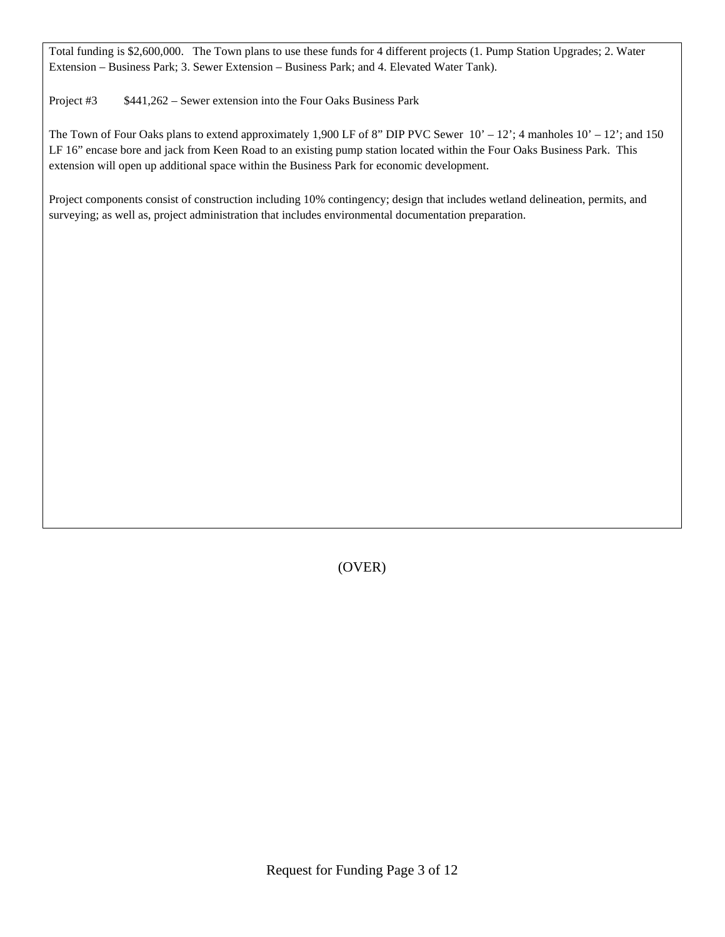Total funding is \$2,600,000. The Town plans to use these funds for 4 different projects (1. Pump Station Upgrades; 2. Water Extension – Business Park; 3. Sewer Extension – Business Park; and 4. Elevated Water Tank).

Project #3 \$441,262 – Sewer extension into the Four Oaks Business Park

The Town of Four Oaks plans to extend approximately 1,900 LF of 8" DIP PVC Sewer  $10' - 12$ '; 4 manholes  $10' - 12$ '; and 150 LF 16" encase bore and jack from Keen Road to an existing pump station located within the Four Oaks Business Park. This extension will open up additional space within the Business Park for economic development.

Project components consist of construction including 10% contingency; design that includes wetland delineation, permits, and surveying; as well as, project administration that includes environmental documentation preparation.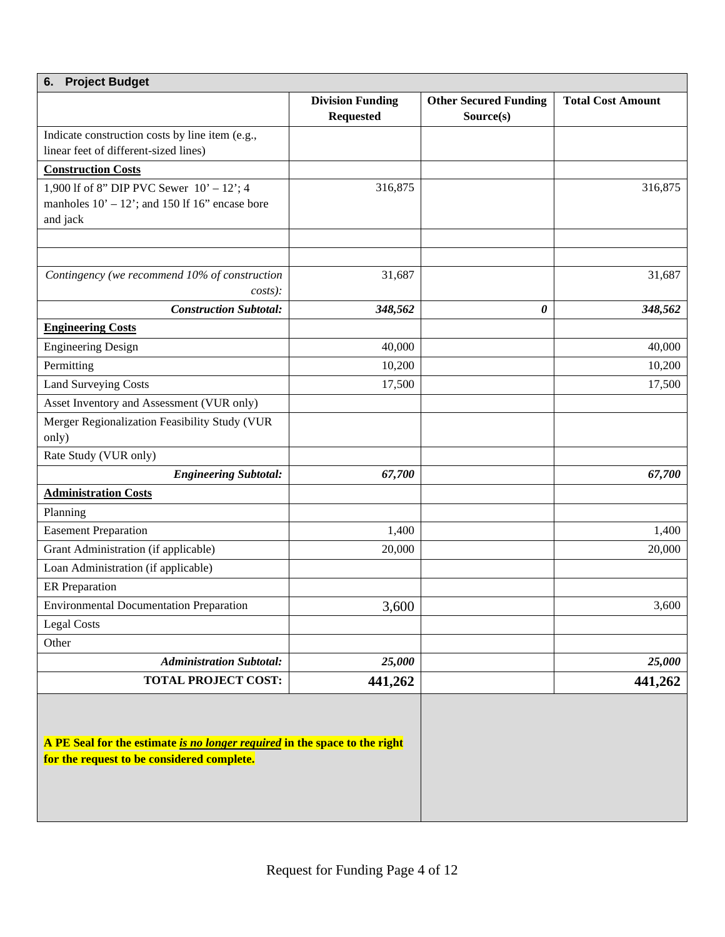| <b>Project Budget</b><br>6.                                                                                              |                         |                              |                          |  |  |  |
|--------------------------------------------------------------------------------------------------------------------------|-------------------------|------------------------------|--------------------------|--|--|--|
|                                                                                                                          | <b>Division Funding</b> | <b>Other Secured Funding</b> | <b>Total Cost Amount</b> |  |  |  |
|                                                                                                                          | <b>Requested</b>        | Source(s)                    |                          |  |  |  |
| Indicate construction costs by line item (e.g.,<br>linear feet of different-sized lines)                                 |                         |                              |                          |  |  |  |
| <b>Construction Costs</b>                                                                                                |                         |                              |                          |  |  |  |
| 1,900 If of 8" DIP PVC Sewer $10' - 12$ "; 4                                                                             | 316,875                 |                              | 316,875                  |  |  |  |
| manholes $10' - 12'$ ; and 150 lf 16" encase bore                                                                        |                         |                              |                          |  |  |  |
| and jack                                                                                                                 |                         |                              |                          |  |  |  |
|                                                                                                                          |                         |                              |                          |  |  |  |
|                                                                                                                          |                         |                              |                          |  |  |  |
| Contingency (we recommend 10% of construction<br>$costs$ :                                                               | 31,687                  |                              | 31,687                   |  |  |  |
| <b>Construction Subtotal:</b>                                                                                            | 348,562                 | 0                            | 348,562                  |  |  |  |
| <b>Engineering Costs</b>                                                                                                 |                         |                              |                          |  |  |  |
| <b>Engineering Design</b>                                                                                                | 40,000                  |                              | 40,000                   |  |  |  |
| Permitting                                                                                                               | 10,200                  |                              | 10,200                   |  |  |  |
| <b>Land Surveying Costs</b>                                                                                              | 17,500                  |                              | 17,500                   |  |  |  |
| Asset Inventory and Assessment (VUR only)                                                                                |                         |                              |                          |  |  |  |
| Merger Regionalization Feasibility Study (VUR                                                                            |                         |                              |                          |  |  |  |
| only)                                                                                                                    |                         |                              |                          |  |  |  |
| Rate Study (VUR only)                                                                                                    |                         |                              |                          |  |  |  |
| <b>Engineering Subtotal:</b>                                                                                             | 67,700                  |                              | 67,700                   |  |  |  |
| <b>Administration Costs</b>                                                                                              |                         |                              |                          |  |  |  |
| Planning                                                                                                                 |                         |                              |                          |  |  |  |
| <b>Easement Preparation</b>                                                                                              | 1,400                   |                              | 1,400                    |  |  |  |
| Grant Administration (if applicable)                                                                                     | 20,000                  |                              | 20,000                   |  |  |  |
| Loan Administration (if applicable)                                                                                      |                         |                              |                          |  |  |  |
| <b>ER</b> Preparation                                                                                                    |                         |                              |                          |  |  |  |
| <b>Environmental Documentation Preparation</b>                                                                           | 3,600                   |                              | 3,600                    |  |  |  |
| <b>Legal Costs</b>                                                                                                       |                         |                              |                          |  |  |  |
| Other                                                                                                                    |                         |                              |                          |  |  |  |
| <b>Administration Subtotal:</b>                                                                                          | 25,000                  |                              | 25,000                   |  |  |  |
| <b>TOTAL PROJECT COST:</b>                                                                                               | 441,262                 |                              | 441,262                  |  |  |  |
| A PE Seal for the estimate is no longer required in the space to the right<br>for the request to be considered complete. |                         |                              |                          |  |  |  |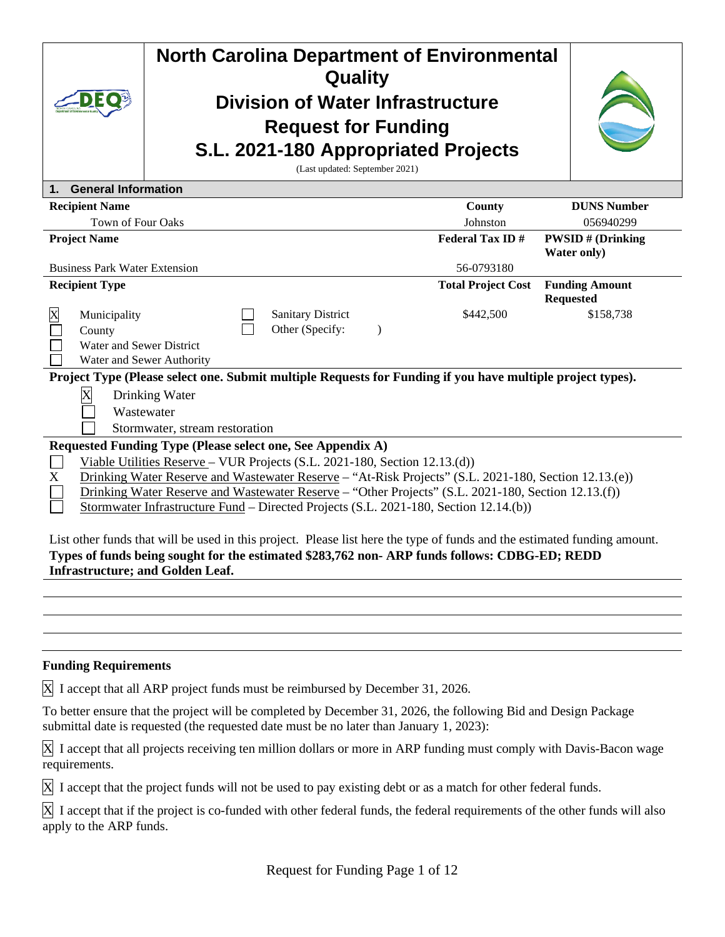| <b>North Carolina Department of Environmental</b><br>Quality<br><b>Division of Water Infrastructure</b><br><b>Request for Funding</b><br>S.L. 2021-180 Appropriated Projects<br>(Last updated: September 2021)                                                                                                                                                                                                                                                                                                                                                                                                                                                  |                                                                  |  |  |  |  |
|-----------------------------------------------------------------------------------------------------------------------------------------------------------------------------------------------------------------------------------------------------------------------------------------------------------------------------------------------------------------------------------------------------------------------------------------------------------------------------------------------------------------------------------------------------------------------------------------------------------------------------------------------------------------|------------------------------------------------------------------|--|--|--|--|
| <b>General Information</b><br>1.                                                                                                                                                                                                                                                                                                                                                                                                                                                                                                                                                                                                                                |                                                                  |  |  |  |  |
| <b>Recipient Name</b>                                                                                                                                                                                                                                                                                                                                                                                                                                                                                                                                                                                                                                           | <b>DUNS Number</b><br>County                                     |  |  |  |  |
| Town of Four Oaks                                                                                                                                                                                                                                                                                                                                                                                                                                                                                                                                                                                                                                               | 056940299<br>Johnston                                            |  |  |  |  |
| <b>Project Name</b>                                                                                                                                                                                                                                                                                                                                                                                                                                                                                                                                                                                                                                             | <b>Federal Tax ID#</b><br><b>PWSID#</b> (Drinking                |  |  |  |  |
| <b>Water only</b> )                                                                                                                                                                                                                                                                                                                                                                                                                                                                                                                                                                                                                                             |                                                                  |  |  |  |  |
| <b>Business Park Water Extension</b><br><b>Recipient Type</b>                                                                                                                                                                                                                                                                                                                                                                                                                                                                                                                                                                                                   | 56-0793180<br><b>Total Project Cost</b><br><b>Funding Amount</b> |  |  |  |  |
|                                                                                                                                                                                                                                                                                                                                                                                                                                                                                                                                                                                                                                                                 | <b>Requested</b>                                                 |  |  |  |  |
| X<br><b>Sanitary District</b><br>Municipality<br>Other (Specify:<br>County<br>Water and Sewer District<br>Water and Sewer Authority                                                                                                                                                                                                                                                                                                                                                                                                                                                                                                                             | \$158,738<br>\$442,500<br>$\lambda$                              |  |  |  |  |
| Project Type (Please select one. Submit multiple Requests for Funding if you have multiple project types).                                                                                                                                                                                                                                                                                                                                                                                                                                                                                                                                                      |                                                                  |  |  |  |  |
| X<br>Drinking Water<br>Wastewater<br>Stormwater, stream restoration                                                                                                                                                                                                                                                                                                                                                                                                                                                                                                                                                                                             |                                                                  |  |  |  |  |
| Requested Funding Type (Please select one, See Appendix A)                                                                                                                                                                                                                                                                                                                                                                                                                                                                                                                                                                                                      |                                                                  |  |  |  |  |
| Viable Utilities Reserve - VUR Projects (S.L. 2021-180, Section 12.13.(d))<br>Drinking Water Reserve and Wastewater Reserve - "At-Risk Projects" (S.L. 2021-180, Section 12.13.(e))<br>X<br>Drinking Water Reserve and Wastewater Reserve - "Other Projects" (S.L. 2021-180, Section 12.13.(f))<br>Stormwater Infrastructure Fund – Directed Projects (S.L. 2021-180, Section 12.14.(b))<br>List other funds that will be used in this project. Please list here the type of funds and the estimated funding amount.<br>Types of funds being sought for the estimated \$283,762 non-ARP funds follows: CDBG-ED; REDD<br><b>Infrastructure; and Golden Leaf.</b> |                                                                  |  |  |  |  |

### **Funding Requirements**

X I accept that all ARP project funds must be reimbursed by December 31, 2026.

To better ensure that the project will be completed by December 31, 2026, the following Bid and Design Package submittal date is requested (the requested date must be no later than January 1, 2023):

X I accept that all projects receiving ten million dollars or more in ARP funding must comply with Davis-Bacon wage requirements.

 $\overline{X}$  I accept that the project funds will not be used to pay existing debt or as a match for other federal funds.

X I accept that if the project is co-funded with other federal funds, the federal requirements of the other funds will also apply to the ARP funds.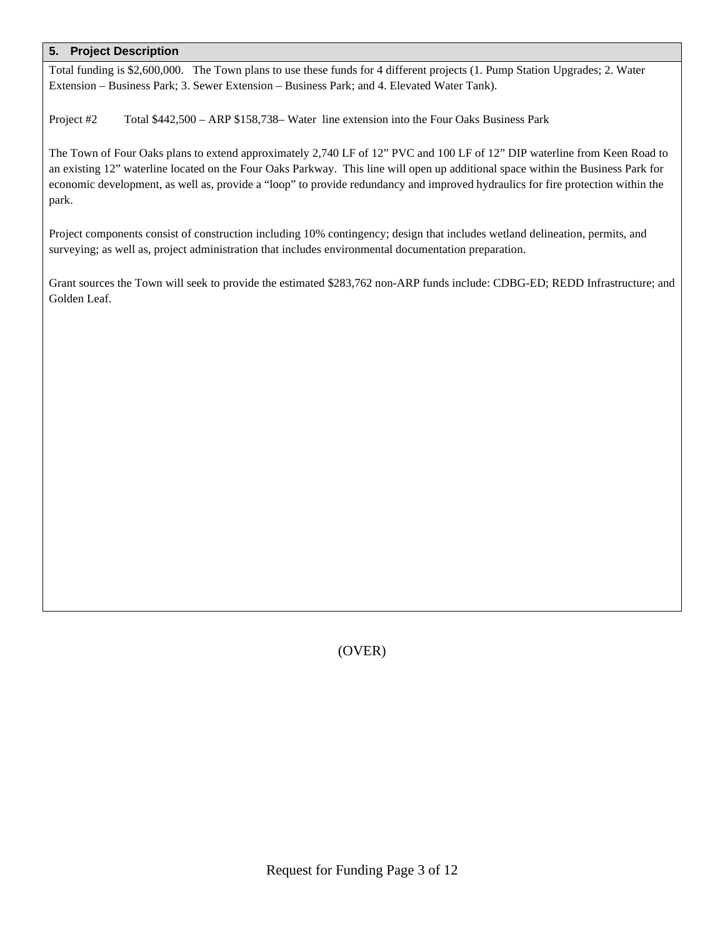Total funding is \$2,600,000. The Town plans to use these funds for 4 different projects (1. Pump Station Upgrades; 2. Water Extension – Business Park; 3. Sewer Extension – Business Park; and 4. Elevated Water Tank).

Project #2 Total \$442,500 – ARP \$158,738– Water line extension into the Four Oaks Business Park

The Town of Four Oaks plans to extend approximately 2,740 LF of 12" PVC and 100 LF of 12" DIP waterline from Keen Road to an existing 12" waterline located on the Four Oaks Parkway. This line will open up additional space within the Business Park for economic development, as well as, provide a "loop" to provide redundancy and improved hydraulics for fire protection within the park.

Project components consist of construction including 10% contingency; design that includes wetland delineation, permits, and surveying; as well as, project administration that includes environmental documentation preparation.

Grant sources the Town will seek to provide the estimated \$283,762 non-ARP funds include: CDBG-ED; REDD Infrastructure; and Golden Leaf.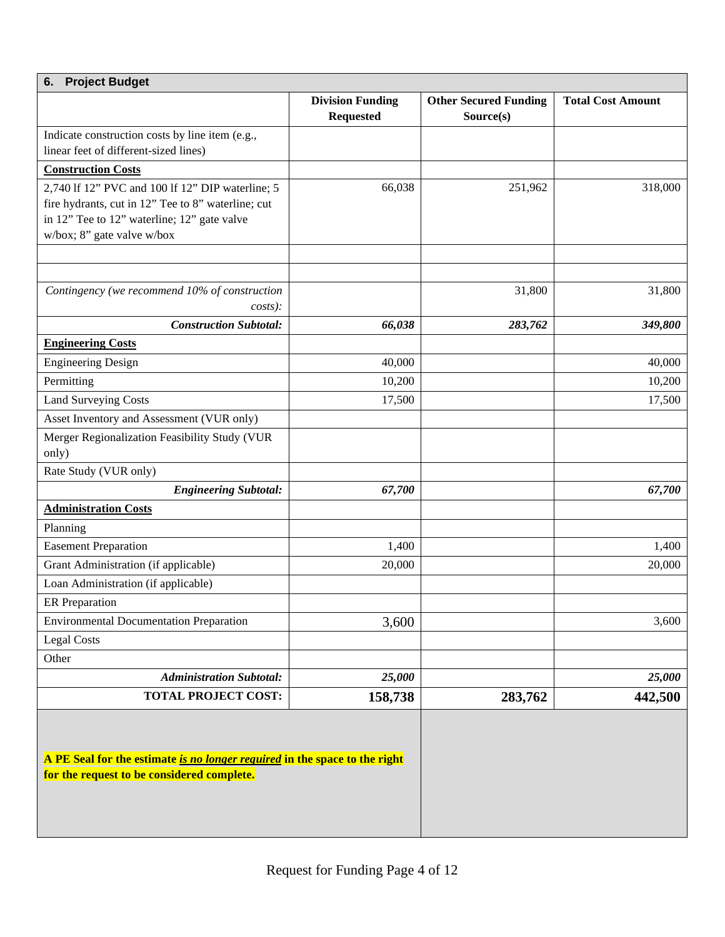| <b>Project Budget</b><br>6.                                                                                              |                                             |                                           |                          |  |  |
|--------------------------------------------------------------------------------------------------------------------------|---------------------------------------------|-------------------------------------------|--------------------------|--|--|
|                                                                                                                          | <b>Division Funding</b><br><b>Requested</b> | <b>Other Secured Funding</b><br>Source(s) | <b>Total Cost Amount</b> |  |  |
| Indicate construction costs by line item (e.g.,                                                                          |                                             |                                           |                          |  |  |
| linear feet of different-sized lines)                                                                                    |                                             |                                           |                          |  |  |
| <b>Construction Costs</b>                                                                                                |                                             |                                           |                          |  |  |
| 2,740 If 12" PVC and 100 If 12" DIP waterline; 5                                                                         | 66,038                                      | 251,962                                   | 318,000                  |  |  |
| fire hydrants, cut in 12" Tee to 8" waterline; cut                                                                       |                                             |                                           |                          |  |  |
| in 12" Tee to 12" waterline; 12" gate valve                                                                              |                                             |                                           |                          |  |  |
| w/box; 8" gate valve w/box                                                                                               |                                             |                                           |                          |  |  |
|                                                                                                                          |                                             |                                           |                          |  |  |
|                                                                                                                          |                                             |                                           |                          |  |  |
| Contingency (we recommend 10% of construction                                                                            |                                             | 31,800                                    | 31,800                   |  |  |
| $costs$ ):<br><b>Construction Subtotal:</b>                                                                              |                                             |                                           |                          |  |  |
|                                                                                                                          | 66,038                                      | 283,762                                   | 349,800                  |  |  |
| <b>Engineering Costs</b>                                                                                                 |                                             |                                           |                          |  |  |
| <b>Engineering Design</b>                                                                                                | 40,000                                      |                                           | 40,000                   |  |  |
| Permitting                                                                                                               | 10,200                                      |                                           | 10,200                   |  |  |
| <b>Land Surveying Costs</b>                                                                                              | 17,500                                      |                                           | 17,500                   |  |  |
| Asset Inventory and Assessment (VUR only)                                                                                |                                             |                                           |                          |  |  |
| Merger Regionalization Feasibility Study (VUR                                                                            |                                             |                                           |                          |  |  |
| only)                                                                                                                    |                                             |                                           |                          |  |  |
| Rate Study (VUR only)                                                                                                    |                                             |                                           |                          |  |  |
| <b>Engineering Subtotal:</b>                                                                                             | 67,700                                      |                                           | 67,700                   |  |  |
| <b>Administration Costs</b>                                                                                              |                                             |                                           |                          |  |  |
| Planning                                                                                                                 |                                             |                                           |                          |  |  |
| <b>Easement Preparation</b>                                                                                              | 1,400                                       |                                           | 1,400                    |  |  |
| Grant Administration (if applicable)                                                                                     | 20,000                                      |                                           | 20,000                   |  |  |
| Loan Administration (if applicable)                                                                                      |                                             |                                           |                          |  |  |
| <b>ER</b> Preparation                                                                                                    |                                             |                                           |                          |  |  |
| <b>Environmental Documentation Preparation</b>                                                                           | 3,600                                       |                                           | 3,600                    |  |  |
| <b>Legal Costs</b>                                                                                                       |                                             |                                           |                          |  |  |
| Other                                                                                                                    |                                             |                                           |                          |  |  |
| <b>Administration Subtotal:</b>                                                                                          | 25,000                                      |                                           | 25,000                   |  |  |
| <b>TOTAL PROJECT COST:</b>                                                                                               | 158,738                                     | 283,762                                   | 442,500                  |  |  |
| A PE Seal for the estimate is no longer required in the space to the right<br>for the request to be considered complete. |                                             |                                           |                          |  |  |
|                                                                                                                          |                                             |                                           |                          |  |  |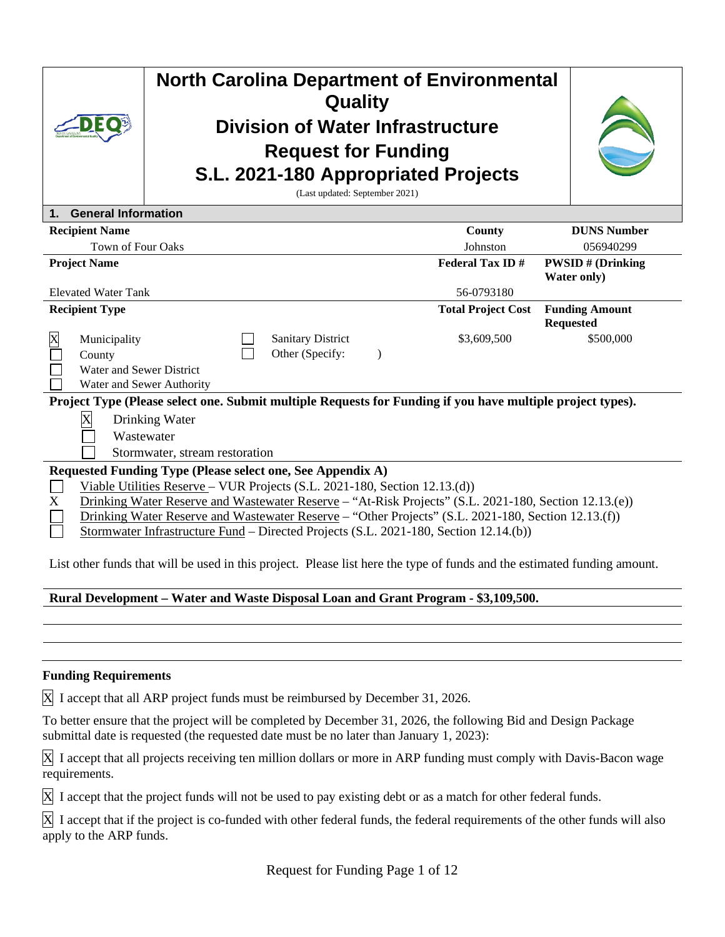|                                                                                                                                                                                                                                                                                                                                                                                                                                                        | <b>North Carolina Department of Environmental</b><br><b>Quality</b><br><b>Division of Water Infrastructure</b><br><b>Request for Funding</b><br>S.L. 2021-180 Appropriated Projects<br>(Last updated: September 2021) |                           |                                                                                                            |  |                           |                                                |
|--------------------------------------------------------------------------------------------------------------------------------------------------------------------------------------------------------------------------------------------------------------------------------------------------------------------------------------------------------------------------------------------------------------------------------------------------------|-----------------------------------------------------------------------------------------------------------------------------------------------------------------------------------------------------------------------|---------------------------|------------------------------------------------------------------------------------------------------------|--|---------------------------|------------------------------------------------|
| $\mathbf 1$ .                                                                                                                                                                                                                                                                                                                                                                                                                                          | <b>General Information</b>                                                                                                                                                                                            |                           |                                                                                                            |  |                           |                                                |
|                                                                                                                                                                                                                                                                                                                                                                                                                                                        | <b>Recipient Name</b>                                                                                                                                                                                                 |                           |                                                                                                            |  | County                    | <b>DUNS Number</b>                             |
|                                                                                                                                                                                                                                                                                                                                                                                                                                                        | <b>Town of Four Oaks</b>                                                                                                                                                                                              |                           |                                                                                                            |  | Johnston                  | 056940299                                      |
|                                                                                                                                                                                                                                                                                                                                                                                                                                                        | <b>Project Name</b>                                                                                                                                                                                                   |                           |                                                                                                            |  | <b>Federal Tax ID#</b>    | <b>PWSID#</b> (Drinking<br><b>Water only</b> ) |
| <b>Elevated Water Tank</b><br>56-0793180                                                                                                                                                                                                                                                                                                                                                                                                               |                                                                                                                                                                                                                       |                           |                                                                                                            |  |                           |                                                |
|                                                                                                                                                                                                                                                                                                                                                                                                                                                        | <b>Recipient Type</b>                                                                                                                                                                                                 |                           |                                                                                                            |  | <b>Total Project Cost</b> | <b>Funding Amount</b><br><b>Requested</b>      |
| X                                                                                                                                                                                                                                                                                                                                                                                                                                                      | Municipality<br>County<br>Water and Sewer District                                                                                                                                                                    | Water and Sewer Authority | <b>Sanitary District</b><br>Other (Specify:                                                                |  | \$3,609,500               | \$500,000                                      |
|                                                                                                                                                                                                                                                                                                                                                                                                                                                        |                                                                                                                                                                                                                       |                           | Project Type (Please select one. Submit multiple Requests for Funding if you have multiple project types). |  |                           |                                                |
|                                                                                                                                                                                                                                                                                                                                                                                                                                                        | $\overline{\text{X}}$<br>Drinking Water<br>Wastewater<br>Stormwater, stream restoration                                                                                                                               |                           |                                                                                                            |  |                           |                                                |
| Requested Funding Type (Please select one, See Appendix A)<br>Viable Utilities Reserve - VUR Projects (S.L. 2021-180, Section 12.13.(d))<br>Drinking Water Reserve and Wastewater Reserve - "At-Risk Projects" (S.L. 2021-180, Section 12.13.(e))<br>X<br>Drinking Water Reserve and Wastewater Reserve - "Other Projects" (S.L. 2021-180, Section 12.13.(f))<br>Stormwater Infrastructure Fund - Directed Projects (S.L. 2021-180, Section 12.14.(b)) |                                                                                                                                                                                                                       |                           |                                                                                                            |  |                           |                                                |
|                                                                                                                                                                                                                                                                                                                                                                                                                                                        | List other funds that will be used in this project. Please list here the type of funds and the estimated funding amount.                                                                                              |                           |                                                                                                            |  |                           |                                                |

# **Rural Development – Water and Waste Disposal Loan and Grant Program - \$3,109,500.**

### **Funding Requirements**

X I accept that all ARP project funds must be reimbursed by December 31, 2026.

To better ensure that the project will be completed by December 31, 2026, the following Bid and Design Package submittal date is requested (the requested date must be no later than January 1, 2023):

X I accept that all projects receiving ten million dollars or more in ARP funding must comply with Davis-Bacon wage requirements.

X I accept that the project funds will not be used to pay existing debt or as a match for other federal funds.

X I accept that if the project is co-funded with other federal funds, the federal requirements of the other funds will also apply to the ARP funds.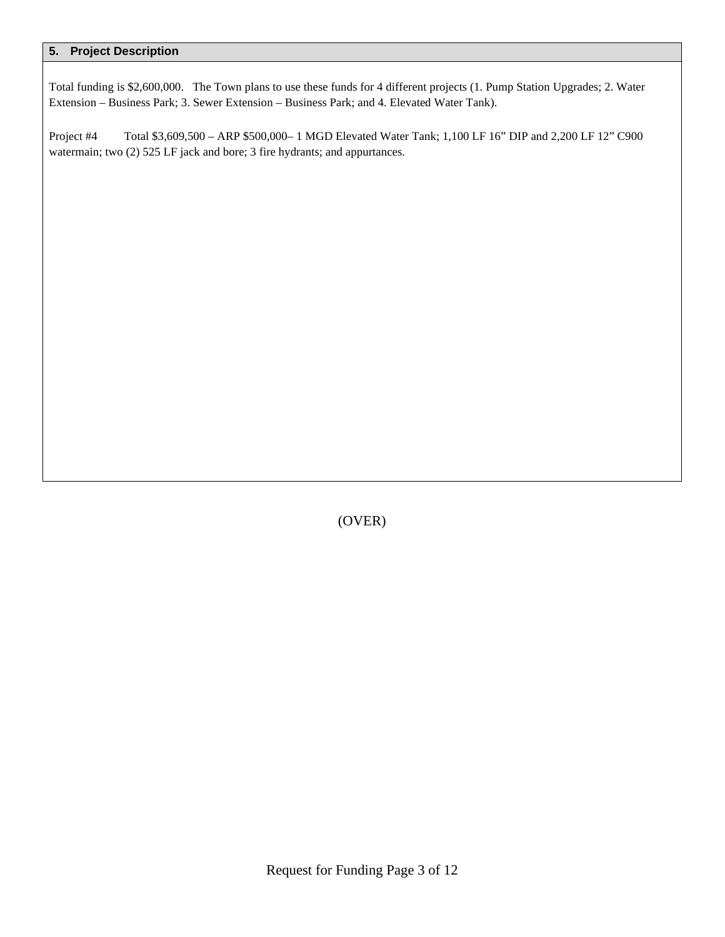Total funding is \$2,600,000. The Town plans to use these funds for 4 different projects (1. Pump Station Upgrades; 2. Water Extension – Business Park; 3. Sewer Extension – Business Park; and 4. Elevated Water Tank).

Project #4 Total \$3,609,500 – ARP \$500,000– 1 MGD Elevated Water Tank; 1,100 LF 16" DIP and 2,200 LF 12" C900 watermain; two (2) 525 LF jack and bore; 3 fire hydrants; and appurtances.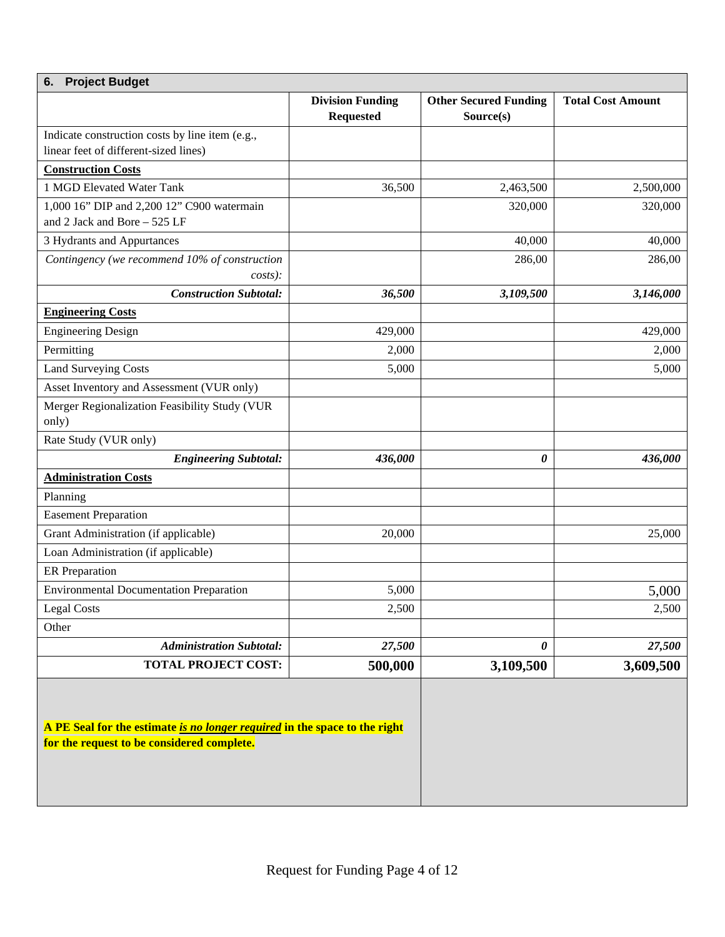| <b>Project Budget</b><br>6.                                                                                              |                         |                              |                          |  |  |
|--------------------------------------------------------------------------------------------------------------------------|-------------------------|------------------------------|--------------------------|--|--|
|                                                                                                                          | <b>Division Funding</b> | <b>Other Secured Funding</b> | <b>Total Cost Amount</b> |  |  |
|                                                                                                                          | <b>Requested</b>        | Source(s)                    |                          |  |  |
| Indicate construction costs by line item (e.g.,                                                                          |                         |                              |                          |  |  |
| linear feet of different-sized lines)                                                                                    |                         |                              |                          |  |  |
| <b>Construction Costs</b>                                                                                                |                         |                              |                          |  |  |
| 1 MGD Elevated Water Tank                                                                                                | 36,500                  | 2,463,500                    | 2,500,000                |  |  |
| 1,000 16" DIP and 2,200 12" C900 watermain<br>and 2 Jack and Bore - 525 LF                                               |                         | 320,000                      | 320,000                  |  |  |
| 3 Hydrants and Appurtances                                                                                               |                         | 40,000                       | 40,000                   |  |  |
| Contingency (we recommend 10% of construction<br>$costs$ :                                                               |                         | 286,00                       | 286,00                   |  |  |
| <b>Construction Subtotal:</b>                                                                                            | 36,500                  | 3,109,500                    | 3,146,000                |  |  |
| <b>Engineering Costs</b>                                                                                                 |                         |                              |                          |  |  |
| <b>Engineering Design</b>                                                                                                | 429,000                 |                              | 429,000                  |  |  |
| Permitting                                                                                                               | 2,000                   |                              | 2,000                    |  |  |
| <b>Land Surveying Costs</b>                                                                                              | 5,000                   |                              | 5,000                    |  |  |
| Asset Inventory and Assessment (VUR only)                                                                                |                         |                              |                          |  |  |
| Merger Regionalization Feasibility Study (VUR                                                                            |                         |                              |                          |  |  |
| only)                                                                                                                    |                         |                              |                          |  |  |
| Rate Study (VUR only)                                                                                                    |                         |                              |                          |  |  |
| <b>Engineering Subtotal:</b>                                                                                             | 436,000                 | 0                            | 436,000                  |  |  |
| <b>Administration Costs</b>                                                                                              |                         |                              |                          |  |  |
| Planning                                                                                                                 |                         |                              |                          |  |  |
| <b>Easement Preparation</b>                                                                                              |                         |                              |                          |  |  |
| Grant Administration (if applicable)                                                                                     | 20,000                  |                              | 25,000                   |  |  |
| Loan Administration (if applicable)                                                                                      |                         |                              |                          |  |  |
| <b>ER</b> Preparation                                                                                                    |                         |                              |                          |  |  |
| <b>Environmental Documentation Preparation</b>                                                                           | 5,000                   |                              | 5,000                    |  |  |
| <b>Legal Costs</b>                                                                                                       | 2,500                   |                              | 2,500                    |  |  |
| Other                                                                                                                    |                         |                              |                          |  |  |
| <b>Administration Subtotal:</b>                                                                                          | 27,500                  | 0                            | 27,500                   |  |  |
| <b>TOTAL PROJECT COST:</b>                                                                                               | 500,000                 | 3,109,500                    | 3,609,500                |  |  |
| A PE Seal for the estimate is no longer required in the space to the right<br>for the request to be considered complete. |                         |                              |                          |  |  |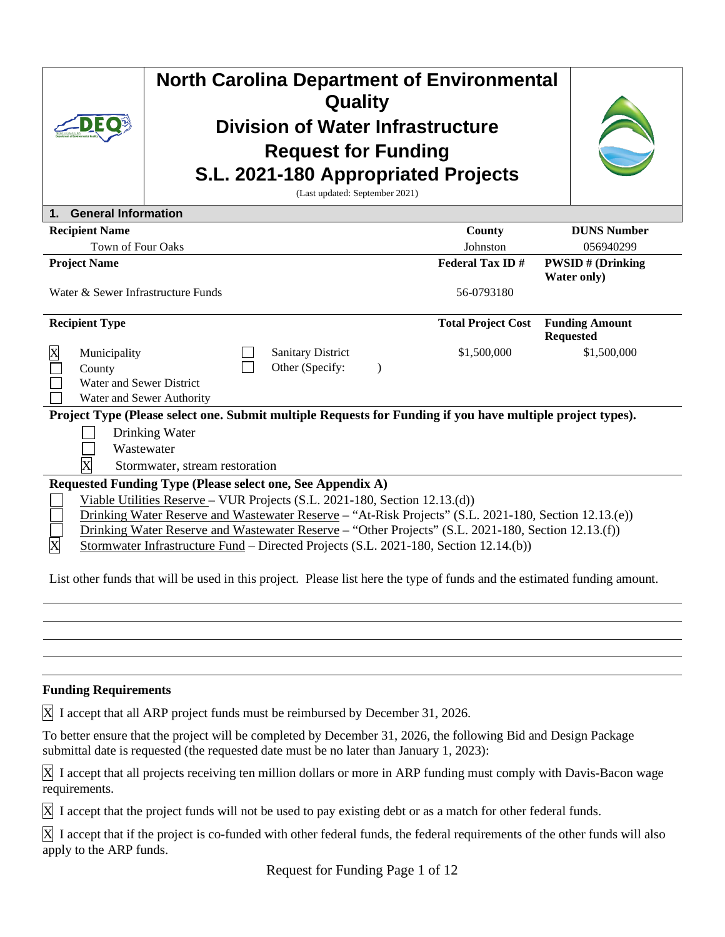|                                                    | <b>North Carolina Department of Environmental</b><br>Quality<br><b>Division of Water Infrastructure</b><br><b>Request for Funding</b>                                                                                                                                                                                                                                                                                                             |                           |                                           |
|----------------------------------------------------|---------------------------------------------------------------------------------------------------------------------------------------------------------------------------------------------------------------------------------------------------------------------------------------------------------------------------------------------------------------------------------------------------------------------------------------------------|---------------------------|-------------------------------------------|
|                                                    | S.L. 2021-180 Appropriated Projects<br>(Last updated: September 2021)                                                                                                                                                                                                                                                                                                                                                                             |                           |                                           |
| <b>General Information</b><br>1.                   |                                                                                                                                                                                                                                                                                                                                                                                                                                                   |                           |                                           |
| <b>Recipient Name</b>                              |                                                                                                                                                                                                                                                                                                                                                                                                                                                   | County                    | <b>DUNS Number</b>                        |
| Town of Four Oaks                                  |                                                                                                                                                                                                                                                                                                                                                                                                                                                   | Johnston                  | 056940299                                 |
| <b>Project Name</b>                                |                                                                                                                                                                                                                                                                                                                                                                                                                                                   | <b>Federal Tax ID#</b>    | <b>PWSID#</b> (Drinking<br>Water only)    |
| Water & Sewer Infrastructure Funds                 |                                                                                                                                                                                                                                                                                                                                                                                                                                                   | 56-0793180                |                                           |
| <b>Recipient Type</b>                              |                                                                                                                                                                                                                                                                                                                                                                                                                                                   | <b>Total Project Cost</b> | <b>Funding Amount</b><br><b>Requested</b> |
| Municipality<br>County<br>Water and Sewer District | <b>Sanitary District</b><br>Other (Specify:<br>$\mathcal{E}$<br>Water and Sewer Authority                                                                                                                                                                                                                                                                                                                                                         | \$1,500,000               | \$1,500,000                               |
|                                                    | Project Type (Please select one. Submit multiple Requests for Funding if you have multiple project types).<br>Drinking Water<br>Wastewater<br>Stormwater, stream restoration                                                                                                                                                                                                                                                                      |                           |                                           |
| $\overline{\text{X}}$                              | Requested Funding Type (Please select one, See Appendix A)<br>Viable Utilities Reserve - VUR Projects (S.L. 2021-180, Section 12.13.(d))<br>Drinking Water Reserve and Wastewater Reserve - "At-Risk Projects" (S.L. 2021-180, Section 12.13.(e))<br>Drinking Water Reserve and Wastewater Reserve - "Other Projects" (S.L. 2021-180, Section 12.13.(f))<br>Stormwater Infrastructure Fund – Directed Projects (S.L. 2021-180, Section 12.14.(b)) |                           |                                           |
|                                                    | List other funds that will be used in this project. Please list here the type of funds and the estimated funding amount.                                                                                                                                                                                                                                                                                                                          |                           |                                           |
|                                                    |                                                                                                                                                                                                                                                                                                                                                                                                                                                   |                           |                                           |
|                                                    |                                                                                                                                                                                                                                                                                                                                                                                                                                                   |                           |                                           |
|                                                    |                                                                                                                                                                                                                                                                                                                                                                                                                                                   |                           |                                           |
|                                                    |                                                                                                                                                                                                                                                                                                                                                                                                                                                   |                           |                                           |
| <b>Funding Requirements</b>                        |                                                                                                                                                                                                                                                                                                                                                                                                                                                   |                           |                                           |

X I accept that all ARP project funds must be reimbursed by December 31, 2026.

To better ensure that the project will be completed by December 31, 2026, the following Bid and Design Package submittal date is requested (the requested date must be no later than January 1, 2023):

X I accept that all projects receiving ten million dollars or more in ARP funding must comply with Davis-Bacon wage requirements.

X I accept that the project funds will not be used to pay existing debt or as a match for other federal funds.

X I accept that if the project is co-funded with other federal funds, the federal requirements of the other funds will also apply to the ARP funds.

Request for Funding Page 1 of 12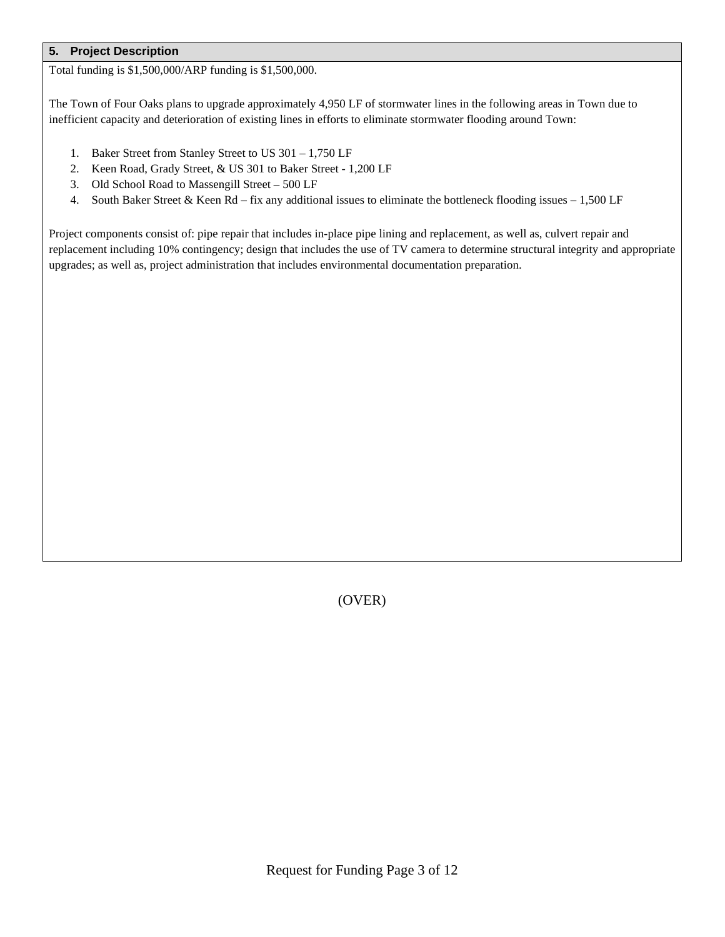Total funding is \$1,500,000/ARP funding is \$1,500,000.

The Town of Four Oaks plans to upgrade approximately 4,950 LF of stormwater lines in the following areas in Town due to inefficient capacity and deterioration of existing lines in efforts to eliminate stormwater flooding around Town:

- 1. Baker Street from Stanley Street to US 301 1,750 LF
- 2. Keen Road, Grady Street, & US 301 to Baker Street 1,200 LF
- 3. Old School Road to Massengill Street 500 LF
- 4. South Baker Street & Keen Rd fix any additional issues to eliminate the bottleneck flooding issues 1,500 LF

Project components consist of: pipe repair that includes in-place pipe lining and replacement, as well as, culvert repair and replacement including 10% contingency; design that includes the use of TV camera to determine structural integrity and appropriate upgrades; as well as, project administration that includes environmental documentation preparation.